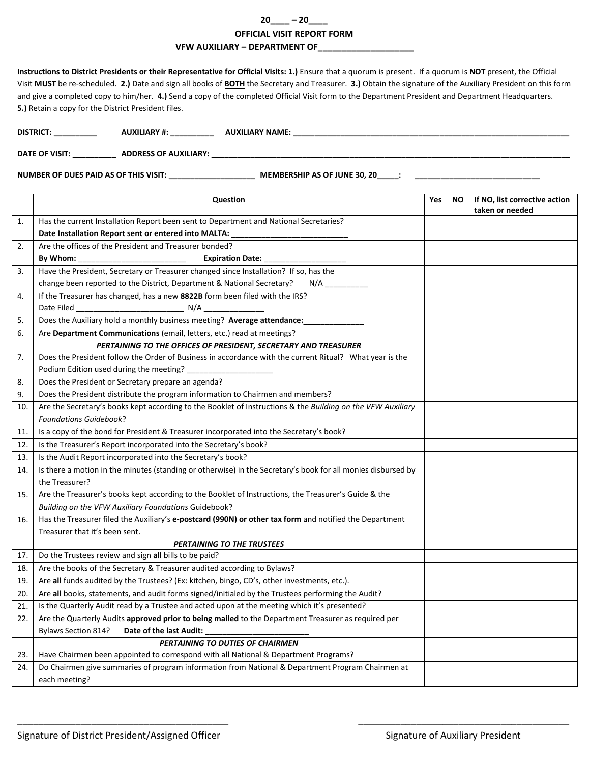## **20\_\_\_\_ – 20\_\_\_\_ OFFICIAL VISIT REPORT FORM VFW AUXILIARY – DEPARTMENT OF\_\_\_\_\_\_\_\_\_\_\_\_\_\_\_\_\_\_\_\_**

**Instructions to District Presidents or their Representative for Official Visits: 1.)** Ensure that a quorum is present. If a quorum is **NOT** present, the Official Visit **MUST** be re-scheduled. **2.)** Date and sign all books of **BOTH** the Secretary and Treasurer. **3.)** Obtain the signature of the Auxiliary President on this form and give a completed copy to him/her. **4.)** Send a copy of the completed Official Visit form to the Department President and Department Headquarters. **5.)** Retain a copy for the District President files.

| <b>DISTRICT</b> | . | <b>NAME</b> |  |
|-----------------|---|-------------|--|
|                 |   |             |  |

**DATE OF VISIT: \_\_\_\_\_\_\_\_\_\_ ADDRESS OF AUXILIARY: \_\_\_\_\_\_\_\_\_\_\_\_\_\_\_\_\_\_\_\_\_\_\_\_\_\_\_\_\_\_\_\_\_\_\_\_\_\_\_\_\_\_\_\_\_\_\_\_\_\_\_\_\_\_\_\_\_\_\_\_\_\_\_\_\_\_\_\_\_\_\_\_\_\_\_\_\_\_\_\_\_\_\_**

**NUMBER OF DUES PAID AS OF THIS VISIT: \_\_\_\_\_\_\_\_\_\_\_\_\_\_\_\_\_\_\_\_ MEMBERSHIP AS OF JUNE 30, 20\_\_\_\_\_: \_\_\_\_\_\_\_\_\_\_\_\_\_\_\_\_\_\_\_\_\_\_\_\_\_\_\_\_\_**

|     | Question                                                                                                                                                                                | Yes | <b>NO</b> | If NO, list corrective action |
|-----|-----------------------------------------------------------------------------------------------------------------------------------------------------------------------------------------|-----|-----------|-------------------------------|
| 1.  | Has the current Installation Report been sent to Department and National Secretaries?                                                                                                   |     |           | taken or needed               |
|     | Date Installation Report sent or entered into MALTA:                                                                                                                                    |     |           |                               |
| 2.  | Are the offices of the President and Treasurer bonded?                                                                                                                                  |     |           |                               |
|     | By Whom: ________________________________<br><b>Expiration Date:</b>                                                                                                                    |     |           |                               |
| 3.  | Have the President, Secretary or Treasurer changed since Installation? If so, has the                                                                                                   |     |           |                               |
|     | change been reported to the District, Department & National Secretary?<br>N/A                                                                                                           |     |           |                               |
| 4.  | If the Treasurer has changed, has a new 8822B form been filed with the IRS?                                                                                                             |     |           |                               |
|     | Date Filed                                                                                                                                                                              |     |           |                               |
| 5.  | Does the Auxiliary hold a monthly business meeting? Average attendance:                                                                                                                 |     |           |                               |
| 6.  | Are Department Communications (email, letters, etc.) read at meetings?                                                                                                                  |     |           |                               |
|     | PERTAINING TO THE OFFICES OF PRESIDENT, SECRETARY AND TREASURER                                                                                                                         |     |           |                               |
| 7.  | Does the President follow the Order of Business in accordance with the current Ritual? What year is the                                                                                 |     |           |                               |
|     | Podium Edition used during the meeting? _                                                                                                                                               |     |           |                               |
| 8.  | Does the President or Secretary prepare an agenda?                                                                                                                                      |     |           |                               |
| 9.  | Does the President distribute the program information to Chairmen and members?                                                                                                          |     |           |                               |
| 10. | Are the Secretary's books kept according to the Booklet of Instructions & the Building on the VFW Auxiliary                                                                             |     |           |                               |
|     | <b>Foundations Guidebook?</b>                                                                                                                                                           |     |           |                               |
| 11. | Is a copy of the bond for President & Treasurer incorporated into the Secretary's book?                                                                                                 |     |           |                               |
| 12. | Is the Treasurer's Report incorporated into the Secretary's book?                                                                                                                       |     |           |                               |
| 13. | Is the Audit Report incorporated into the Secretary's book?                                                                                                                             |     |           |                               |
| 14. | Is there a motion in the minutes (standing or otherwise) in the Secretary's book for all monies disbursed by                                                                            |     |           |                               |
|     | the Treasurer?                                                                                                                                                                          |     |           |                               |
| 15. | Are the Treasurer's books kept according to the Booklet of Instructions, the Treasurer's Guide & the                                                                                    |     |           |                               |
|     | Building on the VFW Auxiliary Foundations Guidebook?                                                                                                                                    |     |           |                               |
| 16. | Has the Treasurer filed the Auxiliary's e-postcard (990N) or other tax form and notified the Department                                                                                 |     |           |                               |
|     | Treasurer that it's been sent.                                                                                                                                                          |     |           |                               |
|     | PERTAINING TO THE TRUSTEES                                                                                                                                                              |     |           |                               |
| 17. | Do the Trustees review and sign all bills to be paid?                                                                                                                                   |     |           |                               |
| 18. | Are the books of the Secretary & Treasurer audited according to Bylaws?                                                                                                                 |     |           |                               |
| 19. | Are all funds audited by the Trustees? (Ex: kitchen, bingo, CD's, other investments, etc.).                                                                                             |     |           |                               |
| 20. | Are all books, statements, and audit forms signed/initialed by the Trustees performing the Audit?                                                                                       |     |           |                               |
| 21. | Is the Quarterly Audit read by a Trustee and acted upon at the meeting which it's presented?                                                                                            |     |           |                               |
| 22. | Are the Quarterly Audits approved prior to being mailed to the Department Treasurer as required per                                                                                     |     |           |                               |
|     | Bylaws Section 814?<br>Date of the last Audit:                                                                                                                                          |     |           |                               |
|     | PERTAINING TO DUTIES OF CHAIRMEN                                                                                                                                                        |     |           |                               |
| 23. | Have Chairmen been appointed to correspond with all National & Department Programs?<br>Do Chairmen give summaries of program information from National & Department Program Chairmen at |     |           |                               |
| 24. | each meeting?                                                                                                                                                                           |     |           |                               |
|     |                                                                                                                                                                                         |     |           |                               |

\_\_\_\_\_\_\_\_\_\_\_\_\_\_\_\_\_\_\_\_\_\_\_\_\_\_\_\_\_\_\_\_\_\_\_\_\_\_\_\_ \_\_\_\_\_\_\_\_\_\_\_\_\_\_\_\_\_\_\_\_\_\_\_\_\_\_\_\_\_\_\_\_\_\_\_\_\_\_\_\_